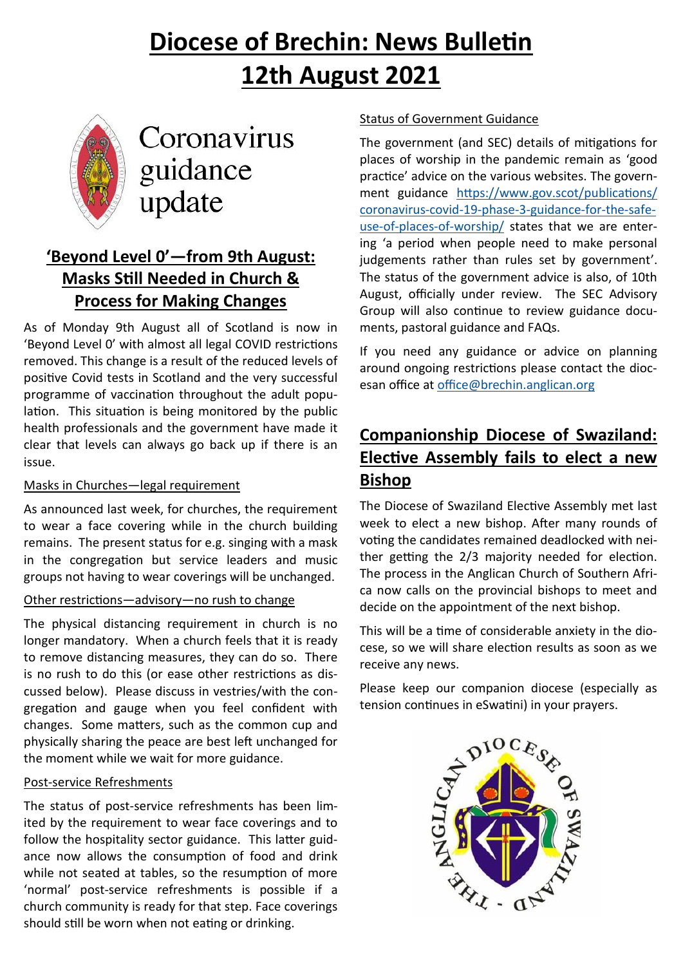# **Diocese of Brechin: News Bulletin 12th August 2021**



# Coronavirus guidance update

# **'Beyond Level 0'—from 9th August: Masks Still Needed in Church & Process for Making Changes**

As of Monday 9th August all of Scotland is now in 'Beyond Level 0' with almost all legal COVID restrictions removed. This change is a result of the reduced levels of positive Covid tests in Scotland and the very successful programme of vaccination throughout the adult population. This situation is being monitored by the public health professionals and the government have made it clear that levels can always go back up if there is an issue.

#### Masks in Churches—legal requirement

As announced last week, for churches, the requirement to wear a face covering while in the church building remains. The present status for e.g. singing with a mask in the congregation but service leaders and music groups not having to wear coverings will be unchanged.

#### Other restrictions—advisory—no rush to change

The physical distancing requirement in church is no longer mandatory. When a church feels that it is ready to remove distancing measures, they can do so. There is no rush to do this (or ease other restrictions as discussed below). Please discuss in vestries/with the congregation and gauge when you feel confident with changes. Some matters, such as the common cup and physically sharing the peace are best left unchanged for the moment while we wait for more guidance.

#### Post-service Refreshments

The status of post-service refreshments has been limited by the requirement to wear face coverings and to follow the hospitality sector guidance. This latter guidance now allows the consumption of food and drink while not seated at tables, so the resumption of more 'normal' post-service refreshments is possible if a church community is ready for that step. Face coverings should still be worn when not eating or drinking.

#### Status of Government Guidance

The government (and SEC) details of mitigations for places of worship in the pandemic remain as 'good practice' advice on the various websites. The government guidance [https://www.gov.scot/publications/](https://www.gov.scot/publications/coronavirus-covid-19-phase-3-guidance-for-the-safe-use-of-places-of-worship/) [coronavirus](https://www.gov.scot/publications/coronavirus-covid-19-phase-3-guidance-for-the-safe-use-of-places-of-worship/)-covid-19-phase-3-guidance-for-the-safeuse-of-places-of-[worship/](https://www.gov.scot/publications/coronavirus-covid-19-phase-3-guidance-for-the-safe-use-of-places-of-worship/) states that we are entering 'a period when people need to make personal judgements rather than rules set by government'. The status of the government advice is also, of 10th August, officially under review. The SEC Advisory Group will also continue to review guidance documents, pastoral guidance and FAQs.

If you need any guidance or advice on planning around ongoing restrictions please contact the diocesan office at [office@brechin.anglican.org](mailto:office@brechin.anglican.org)

## **Companionship Diocese of Swaziland: Elective Assembly fails to elect a new Bishop**

The Diocese of Swaziland Elective Assembly met last week to elect a new bishop. After many rounds of voting the candidates remained deadlocked with neither getting the 2/3 majority needed for election. The process in the Anglican Church of Southern Africa now calls on the provincial bishops to meet and decide on the appointment of the next bishop.

This will be a time of considerable anxiety in the diocese, so we will share election results as soon as we receive any news.

Please keep our companion diocese (especially as tension continues in eSwatini) in your prayers.